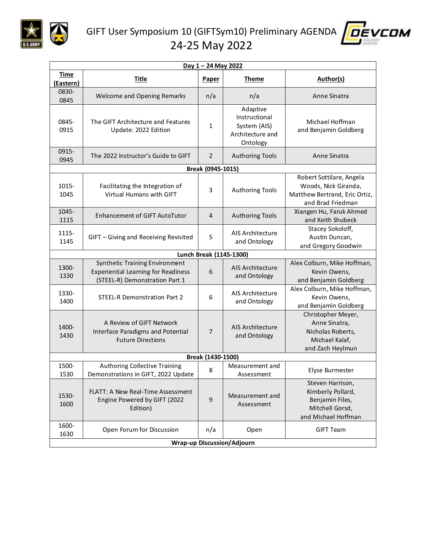

GIFT User Symposium 10 (GIFTSym10) Preliminary AGENDA 24-25 May 2022



| Day 1 - 24 May 2022               |                                                                                                                |                |                                                                           |                                                                                                        |  |  |  |
|-----------------------------------|----------------------------------------------------------------------------------------------------------------|----------------|---------------------------------------------------------------------------|--------------------------------------------------------------------------------------------------------|--|--|--|
| <b>Time</b><br>(Eastern)          | <b>Title</b>                                                                                                   | <b>Paper</b>   | <b>Theme</b>                                                              | <b>Author(s)</b>                                                                                       |  |  |  |
| 0830-<br>0845                     | <b>Welcome and Opening Remarks</b>                                                                             | n/a            | n/a                                                                       | Anne Sinatra                                                                                           |  |  |  |
| 0845-<br>0915                     | The GIFT Architecture and Features<br>Update: 2022 Edition                                                     | $\mathbf{1}$   | Adaptive<br>Instructional<br>System (AIS)<br>Architecture and<br>Ontology | Michael Hoffman<br>and Benjamin Goldberg                                                               |  |  |  |
| 0915-<br>0945                     | The 2022 Instructor's Guide to GIFT                                                                            | 2              | <b>Authoring Tools</b>                                                    | Anne Sinatra                                                                                           |  |  |  |
| Break (0945-1015)                 |                                                                                                                |                |                                                                           |                                                                                                        |  |  |  |
| 1015-<br>1045                     | Facilitating the Integration of<br>Virtual Humans with GIFT                                                    | 3              | <b>Authoring Tools</b>                                                    | Robert Sottilare, Angela<br>Woods, Nick Giranda,<br>Matthew Bertrand, Eric Ortiz,<br>and Brad Friedman |  |  |  |
| 1045-<br>1115                     | Enhancement of GIFT AutoTutor                                                                                  | $\overline{4}$ | <b>Authoring Tools</b>                                                    | Xiangen Hu, Faruk Ahmed<br>and Keith Shubeck                                                           |  |  |  |
| 1115-<br>1145                     | GIFT - Giving and Receiving Revisited                                                                          | 5              | AIS Architecture<br>and Ontology                                          | Stacey Sokoloff,<br>Austin Duncan,<br>and Gregory Goodwin                                              |  |  |  |
| Lunch Break (1145-1300)           |                                                                                                                |                |                                                                           |                                                                                                        |  |  |  |
| 1300-<br>1330                     | Synthetic Training Environment<br><b>Experiential Learning for Readiness</b><br>(STEEL-R) Demonstration Part 1 | 6              | AIS Architecture<br>and Ontology                                          | Alex Colburn, Mike Hoffman,<br>Kevin Owens,<br>and Benjamin Goldberg                                   |  |  |  |
| 1330-<br>1400                     | <b>STEEL-R Demonstration Part 2</b>                                                                            | 6              | AIS Architecture<br>and Ontology                                          | Alex Colburn, Mike Hoffman,<br>Kevin Owens,<br>and Benjamin Goldberg                                   |  |  |  |
| 1400-<br>1430                     | A Review of GIFT Network<br>Interface Paradigms and Potential<br><b>Future Directions</b>                      | $\overline{7}$ | AIS Architecture<br>and Ontology                                          | Christopher Meyer,<br>Anne Sinatra,<br>Nicholas Roberts,<br>Michael Kalaf,<br>and Zach Heylmun         |  |  |  |
| Break (1430-1500)                 |                                                                                                                |                |                                                                           |                                                                                                        |  |  |  |
| 1500-<br>1530                     | <b>Authoring Collective Training</b><br>Demonstrations in GIFT, 2022 Update                                    | 8              | Measurement and<br>Assessment                                             | Elyse Burmester                                                                                        |  |  |  |
| 1530-<br>1600                     | <b>FLATT: A New Real-Time Assessment</b><br>Engine Powered by GIFT (2022<br>Edition)                           | 9              | Measurement and<br>Assessment                                             | Steven Harrison,<br>Kimberly Pollard,<br>Benjamin Files,<br>Mitchell Gorsd,<br>and Michael Hoffman     |  |  |  |
| 1600-<br>1630                     | Open Forum for Discussion                                                                                      | n/a            | Open                                                                      | <b>GIFT Team</b>                                                                                       |  |  |  |
| <b>Wrap-up Discussion/Adjourn</b> |                                                                                                                |                |                                                                           |                                                                                                        |  |  |  |